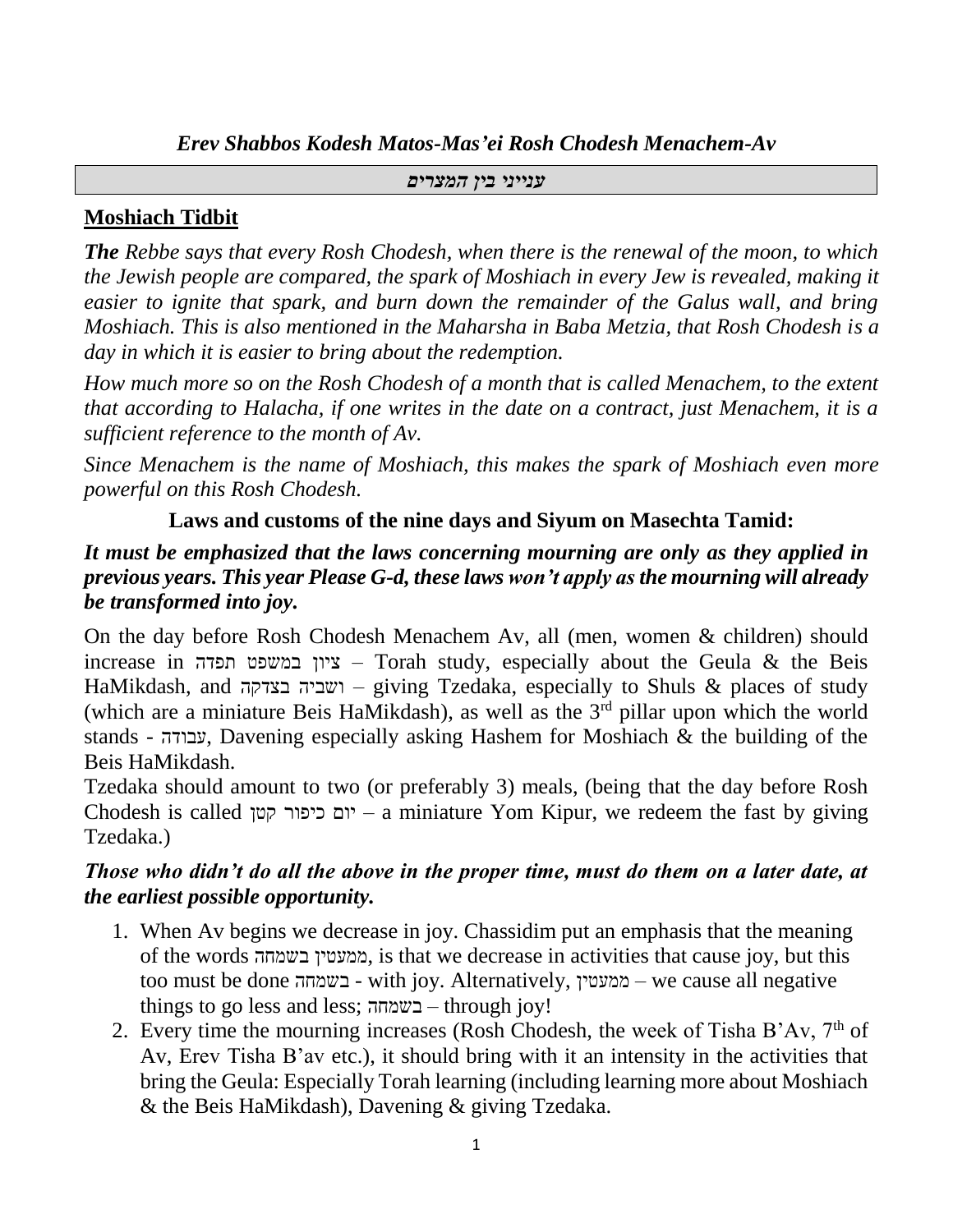*Erev Shabbos Kodesh Matos-Mas'ei Rosh Chodesh Menachem-Av*

#### *ענייני בין המצרים*

# **Moshiach Tidbit**

*The Rebbe says that every Rosh Chodesh, when there is the renewal of the moon, to which the Jewish people are compared, the spark of Moshiach in every Jew is revealed, making it easier to ignite that spark, and burn down the remainder of the Galus wall, and bring Moshiach. This is also mentioned in the Maharsha in Baba Metzia, that Rosh Chodesh is a day in which it is easier to bring about the redemption.*

*How much more so on the Rosh Chodesh of a month that is called Menachem, to the extent that according to Halacha, if one writes in the date on a contract, just Menachem, it is a sufficient reference to the month of Av.*

*Since Menachem is the name of Moshiach, this makes the spark of Moshiach even more powerful on this Rosh Chodesh.*

# **Laws and customs of the nine days and Siyum on Masechta Tamid:**

# *It must be emphasized that the laws concerning mourning are only as they applied in previous years. This year Please G-d, these laws won't apply as the mourning will already be transformed into joy.*

On the day before Rosh Chodesh Menachem Av, all (men, women & children) should increase in תפדה במשפט ציון – Torah study, especially about the Geula & the Beis HaMikdash, and בצדקה ושביה – giving Tzedaka, especially to Shuls & places of study (which are a miniature Beis HaMikdash), as well as the  $3<sup>rd</sup>$  pillar upon which the world stands - עבודה, Davening especially asking Hashem for Moshiach & the building of the Beis HaMikdash.

Tzedaka should amount to two (or preferably 3) meals, (being that the day before Rosh Chodesh is called קטן כיפור יום – a miniature Yom Kipur, we redeem the fast by giving Tzedaka.)

# *Those who didn't do all the above in the proper time, must do them on a later date, at the earliest possible opportunity.*

- 1. When Av begins we decrease in joy. Chassidim put an emphasis that the meaning of the words בשמחה ממעטין, is that we decrease in activities that cause joy, but this too must be done בשמחה - with joy. Alternatively, ממעטין – we cause all negative things to go less and less; בשמחה – through joy!
- 2. Every time the mourning increases (Rosh Chodesh, the week of Tisha B'Av,  $7<sup>th</sup>$  of Av, Erev Tisha B'av etc.), it should bring with it an intensity in the activities that bring the Geula: Especially Torah learning (including learning more about Moshiach & the Beis HaMikdash), Davening & giving Tzedaka.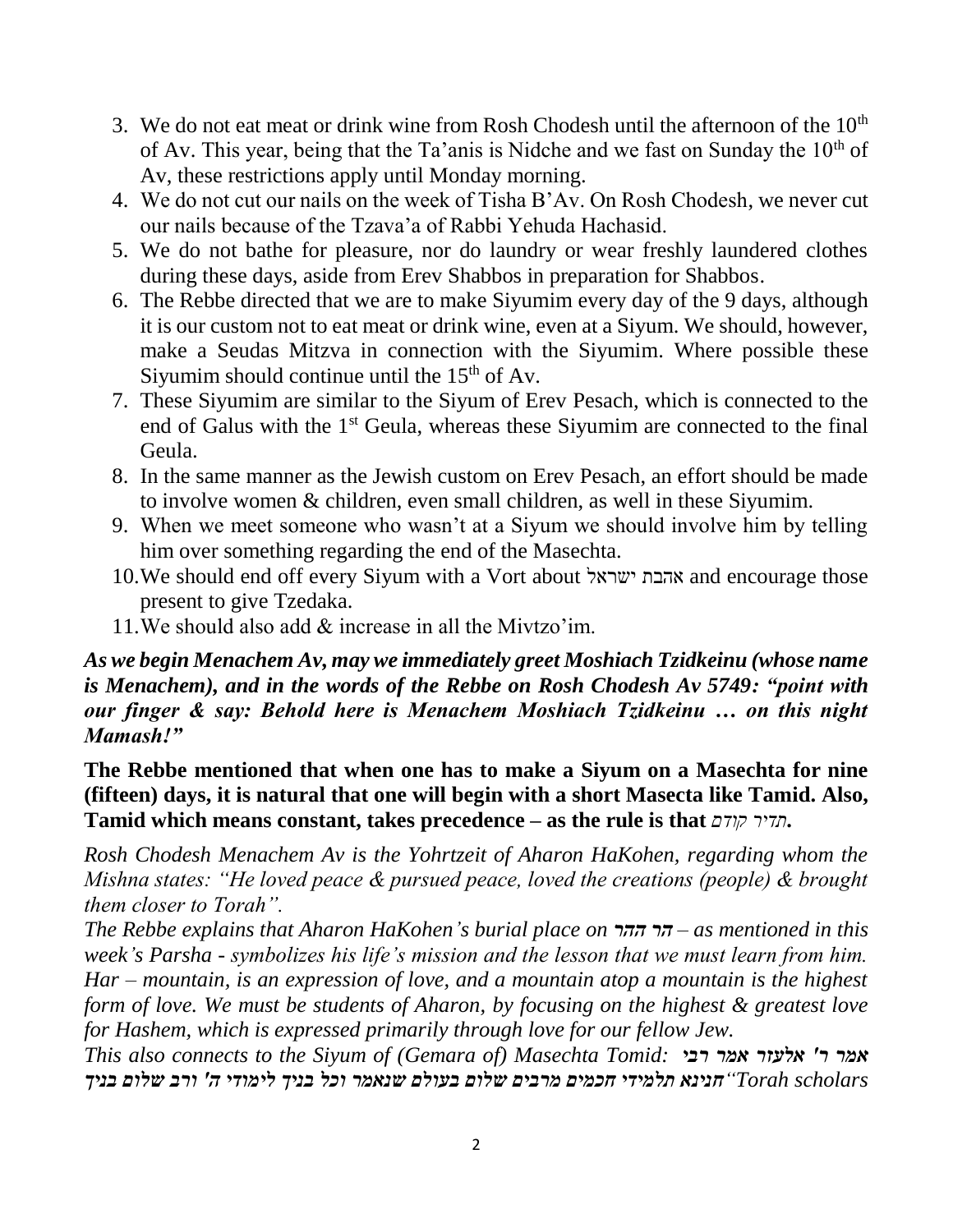- 3. We do not eat meat or drink wine from Rosh Chodesh until the afternoon of the  $10<sup>th</sup>$ of Av. This year, being that the Ta'anis is Nidche and we fast on Sunday the  $10<sup>th</sup>$  of Av, these restrictions apply until Monday morning.
- 4. We do not cut our nails on the week of Tisha B'Av. On Rosh Chodesh, we never cut our nails because of the Tzava'a of Rabbi Yehuda Hachasid.
- 5. We do not bathe for pleasure, nor do laundry or wear freshly laundered clothes during these days, aside from Erev Shabbos in preparation for Shabbos.
- 6. The Rebbe directed that we are to make Siyumim every day of the 9 days, although it is our custom not to eat meat or drink wine, even at a Siyum. We should, however, make a Seudas Mitzva in connection with the Siyumim. Where possible these Siyumim should continue until the  $15<sup>th</sup>$  of Av.
- 7. These Siyumim are similar to the Siyum of Erev Pesach, which is connected to the end of Galus with the 1<sup>st</sup> Geula, whereas these Siyumim are connected to the final Geula.
- 8. In the same manner as the Jewish custom on Erev Pesach, an effort should be made to involve women & children, even small children, as well in these Siyumim.
- 9. When we meet someone who wasn't at a Siyum we should involve him by telling him over something regarding the end of the Masechta.
- 10.We should end off every Siyum with a Vort about ישראל אהבת and encourage those present to give Tzedaka.
- 11.We should also add & increase in all the Mivtzo'im.

# *As we begin Menachem Av, may we immediately greet Moshiach Tzidkeinu (whose name is Menachem), and in the words of the Rebbe on Rosh Chodesh Av 5749: "point with our finger & say: Behold here is Menachem Moshiach Tzidkeinu … on this night Mamash!"*

**The Rebbe mentioned that when one has to make a Siyum on a Masechta for nine (fifteen) days, it is natural that one will begin with a short Masecta like Tamid. Also, Tamid which means constant, takes precedence – as the rule is that** *קודם תדיר***.**

*Rosh Chodesh Menachem Av is the Yohrtzeit of Aharon HaKohen, regarding whom the Mishna states: "He loved peace & pursued peace, loved the creations (people) & brought them closer to Torah".* 

*The Rebbe explains that Aharon HaKohen's burial place on ההר הר – as mentioned in this week's Parsha - symbolizes his life's mission and the lesson that we must learn from him. Har – mountain, is an expression of love, and a mountain atop a mountain is the highest form of love. We must be students of Aharon, by focusing on the highest & greatest love for Hashem, which is expressed primarily through love for our fellow Jew.* 

*This also connects to the Siyum of (Gemara of) Masechta Tomid: רבי אמר אלעזר' ר אמר scholars Torah"חנינא תלמידי חכמים מרבים שלום בעולם שנאמר וכל בניך לימודי ה' ורב שלום בניך*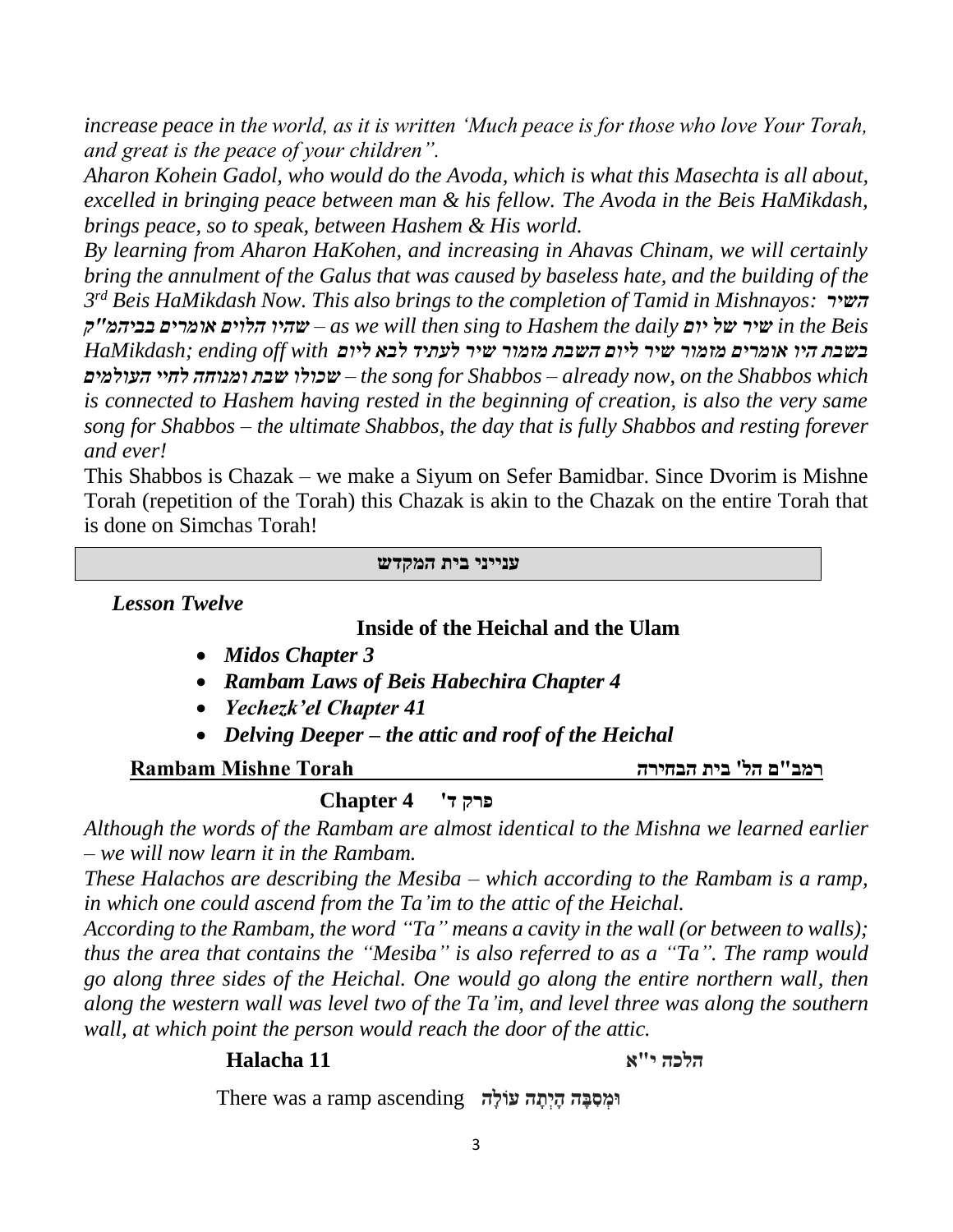*increase peace in the world, as it is written 'Much peace is for those who love Your Torah, and great is the peace of your children".* 

*Aharon Kohein Gadol, who would do the Avoda, which is what this Masechta is all about, excelled in bringing peace between man & his fellow. The Avoda in the Beis HaMikdash, brings peace, so to speak, between Hashem & His world.*

*By learning from Aharon HaKohen, and increasing in Ahavas Chinam, we will certainly bring the annulment of the Galus that was caused by baseless hate, and the building of the 3 rd Beis HaMikdash Now. This also brings to the completion of Tamid in Mishnayos: השיר ק"בביהמ אומרים הלוים שהיו – as we will then sing to Hashem the daily יום של שיר in the Beis בשבת היו אומרים מזמור שיר ליום השבת מזמור שיר לעתיד לבא ליום with off ending; HaMikdash העולמים לחיי ומנוחה שבת שכולו – the song for Shabbos – already now, on the Shabbos which is connected to Hashem having rested in the beginning of creation, is also the very same song for Shabbos – the ultimate Shabbos, the day that is fully Shabbos and resting forever and ever!*

This Shabbos is Chazak – we make a Siyum on Sefer Bamidbar. Since Dvorim is Mishne Torah (repetition of the Torah) this Chazak is akin to the Chazak on the entire Torah that is done on Simchas Torah!

#### **ענייני בית המקדש**

*Lesson Twelve*

### **Inside of the Heichal and the Ulam**

- *Midos Chapter 3*
- *Rambam Laws of Beis Habechira Chapter 4*
- *Yechezk'el Chapter 41*
- *Delving Deeper – the attic and roof of the Heichal*

### **רמב"ם הל' בית הבחירה Torah Mishne Rambam**

# **פרק ד' 4 Chapter**

*Although the words of the Rambam are almost identical to the Mishna we learned earlier – we will now learn it in the Rambam.*

*These Halachos are describing the Mesiba – which according to the Rambam is a ramp, in which one could ascend from the Ta'im to the attic of the Heichal.*

*According to the Rambam, the word "Ta" means a cavity in the wall (or between to walls); thus the area that contains the "Mesiba" is also referred to as a "Ta". The ramp would go along three sides of the Heichal. One would go along the entire northern wall, then along the western wall was level two of the Ta'im, and level three was along the southern wall, at which point the person would reach the door of the attic.*

# **הלכה י"א 11 Halacha**

*וּמְ***סִבָּה הַיְתֵּה עּוֹלָה There was a ramp ascending**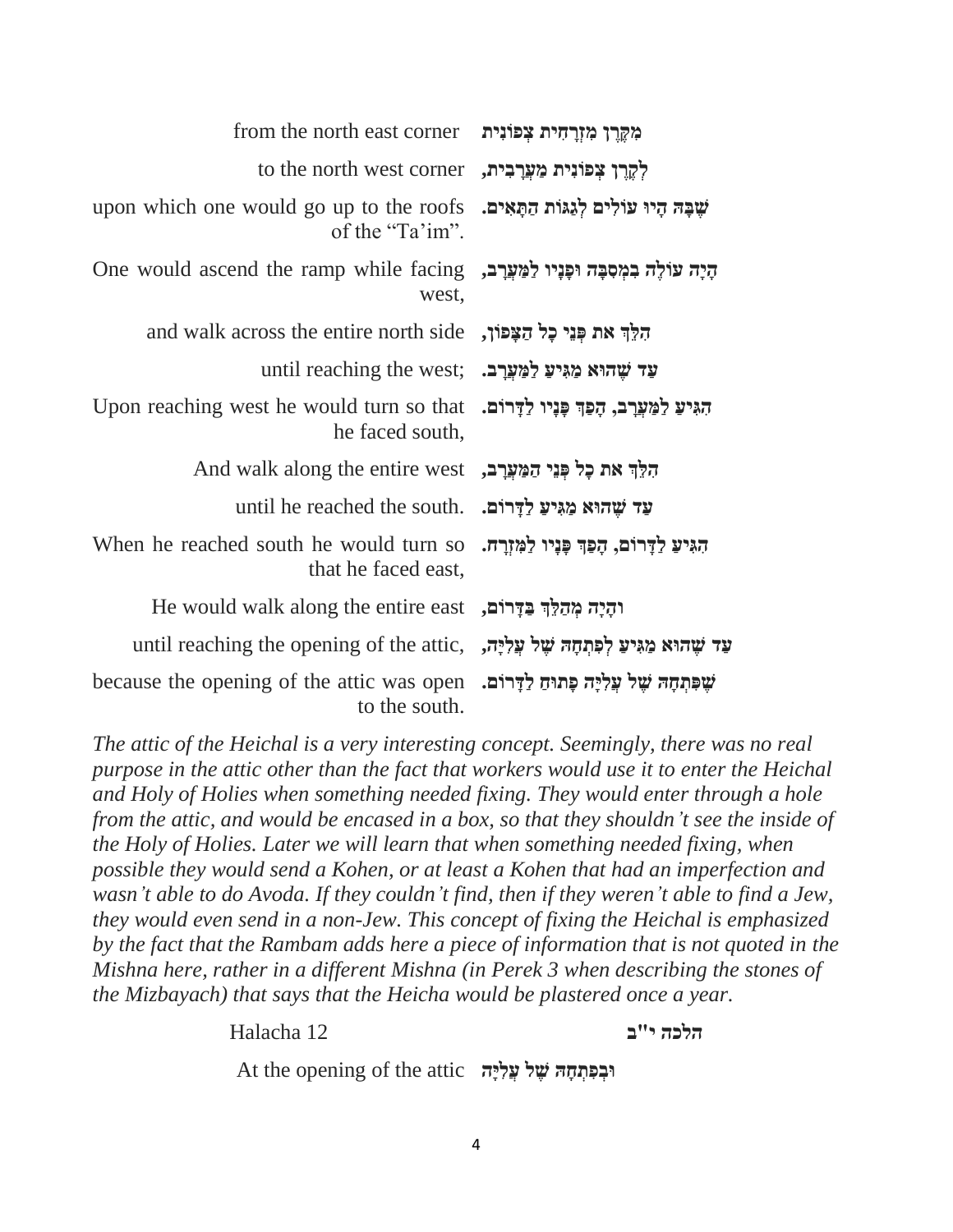| מִקֶרֵן מִזְרַחִית צִפוֹנִית                  | from the north east corner                                       |
|-----------------------------------------------|------------------------------------------------------------------|
| לִקְרֵן צִפוֹנִית מַעֲרָבִית,                 | to the north west corner                                         |
| שָׁבָּה הָיוּ עוֹלִים לְגַגּוֹת הַתָּאִים.    | upon which one would go up to the roofs<br>of the "Ta'im".       |
| הָיָה עוֹלֶה בִמְסִבָּה וּפָנָיו לַמַּעֲרָב,  | One would ascend the ramp while facing<br>west,                  |
| הִלֵּךְ את פְּנֵי כָל הַצָּפוֹן,              | and walk across the entire north side                            |
|                                               | until reaching the west; עד שהוא מגיע למערב.                     |
| הגיע למערב, הפר פִּנְיו לַדְרוֹם.             | Upon reaching west he would turn so that<br>he faced south,      |
|                                               | הִלֵּךְ את כָל כְּנֵי הַמַּעֲרָב, And walk along the entire west |
| עַד שֵׁהוּא מַגִּיעַ לַדָּרוֹם.               | until he reached the south.                                      |
| הגִּיעַ לַדְרוֹם, הָפַךְ פָּנָיו לַמְזְרָה.   | When he reached south he would turn so<br>that he faced east,    |
| והָיָה מִהַלֵּךְ בַּדְרוֹם,                   | He would walk along the entire east                              |
| עַד שָׁהוּא מַגִּיעַ לְפִתְחָה שָׁל עֲלִיָּה, | until reaching the opening of the attic,                         |
| שִׁפְּתִחָה שֵׁל עֲלִיַּה פָּתוּחַ לַדָּרוֹם. | because the opening of the attic was open<br>to the south.       |

*The attic of the Heichal is a very interesting concept. Seemingly, there was no real purpose in the attic other than the fact that workers would use it to enter the Heichal and Holy of Holies when something needed fixing. They would enter through a hole from the attic, and would be encased in a box, so that they shouldn't see the inside of the Holy of Holies. Later we will learn that when something needed fixing, when possible they would send a Kohen, or at least a Kohen that had an imperfection and wasn't able to do Avoda. If they couldn't find, then if they weren't able to find a Jew, they would even send in a non-Jew. This concept of fixing the Heichal is emphasized by the fact that the Rambam adds here a piece of information that is not quoted in the Mishna here, rather in a different Mishna (in Perek 3 when describing the stones of the Mizbayach) that says that the Heicha would be plastered once a year.*

**הלכה י"ב** 12 Halacha

**At the opening of the attic** *עֲלִיָּּה* **אֵל עֲלִיּה**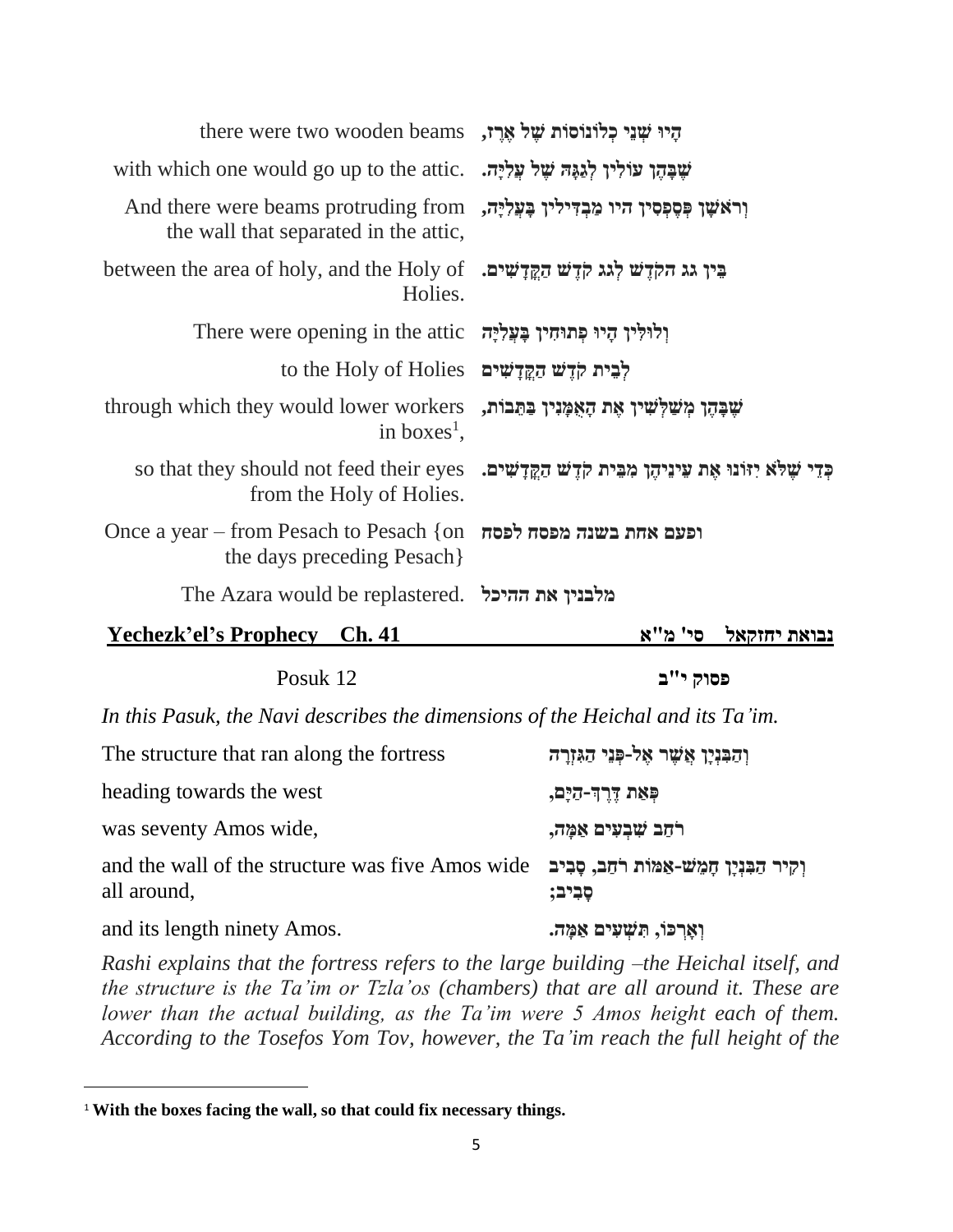| there were two wooden beams , אֱרֶז, there were two wooden beams                                                            |                                                                                                               |
|-----------------------------------------------------------------------------------------------------------------------------|---------------------------------------------------------------------------------------------------------------|
| שִׁבָּהֵן עוֹלִין לְגַגָּהּ שָׁל עֲלִיָּה. with which one would go up to the attic                                          |                                                                                                               |
| And there were beams protruding from וראשן פּפּפְסִין היו מַבְדִּילִין בַּעֲלְיָה,<br>the wall that separated in the attic, |                                                                                                               |
| between the area of holy, and the Holy of נְאֵדְשִׁים. • between the area of holy, and the Holy of<br>Holies.               |                                                                                                               |
| וְלוּלִין הָיוּ פְתוּחִין בָּעֲלִיָּה There were opening in the attic                                                       |                                                                                                               |
| to the Holy of Holies לבית קדָשׁ דַקֲדַשִּׁים                                                                               |                                                                                                               |
| through which they would lower workers<br>in boxes <sup>1</sup> ,                                                           | שָׁבָּהֶן מְשַׁלְשִׁין אֶת הָאָמָּנִין בַּתֵּבוֹת,                                                            |
| from the Holy of Holies.                                                                                                    | so that they should not feed their eyes   .בְּדִּי שִׁלֹא יְדוֹנוּ אֵת עֵינֵיהֵן מִבֵּית קֹדֵשׁ הַקֵּדָשִׁים. |
| Once a year – from Pesach to Pesach {on הפטה לפסח<br>the days preceding Pesach                                              |                                                                                                               |
| The Azara would be replastered. מלבנין את ההיכל                                                                             |                                                                                                               |
| Yechezk'el's Prophecy Ch. 41                                                                                                | סי' מ"א<br>נבואת יחזקאל                                                                                       |

| Posuk 12                                                                       | פסוק י"ב                                                |
|--------------------------------------------------------------------------------|---------------------------------------------------------|
| In this Pasuk, the Navi describes the dimensions of the Heichal and its Ta'im. |                                                         |
| The structure that ran along the fortress                                      | וְהַבִּנְיָן אֲשֶׁר אֶל-פְּנֵי הַגִּזְרָה               |
| heading towards the west                                                       | פִּאַת דֵרְךְ-קַיָּם,                                   |
| was seventy Amos wide,                                                         | רֹחַב שִׁבִעִים אַמַה,                                  |
| and the wall of the structure was five Amos wide<br>all around,                | וִקִיר הַבְּנְיַן חַמֵשׁ-אַמּוֹת רֹחַב, סַבְיב<br>סביב: |

**וְאָרְכּוֹ, תִּשְׁעִים אַמֶּה. .**<br>וְאָרְכּוֹ, תִּשְׁעִים אַמֶּה.

 $\overline{a}$ 

*Rashi explains that the fortress refers to the large building –the Heichal itself, and the structure is the Ta'im or Tzla'os (chambers) that are all around it. These are lower than the actual building, as the Ta'im were 5 Amos height each of them. According to the Tosefos Yom Tov, however, the Ta'im reach the full height of the*

<sup>1</sup> **With the boxes facing the wall, so that could fix necessary things.**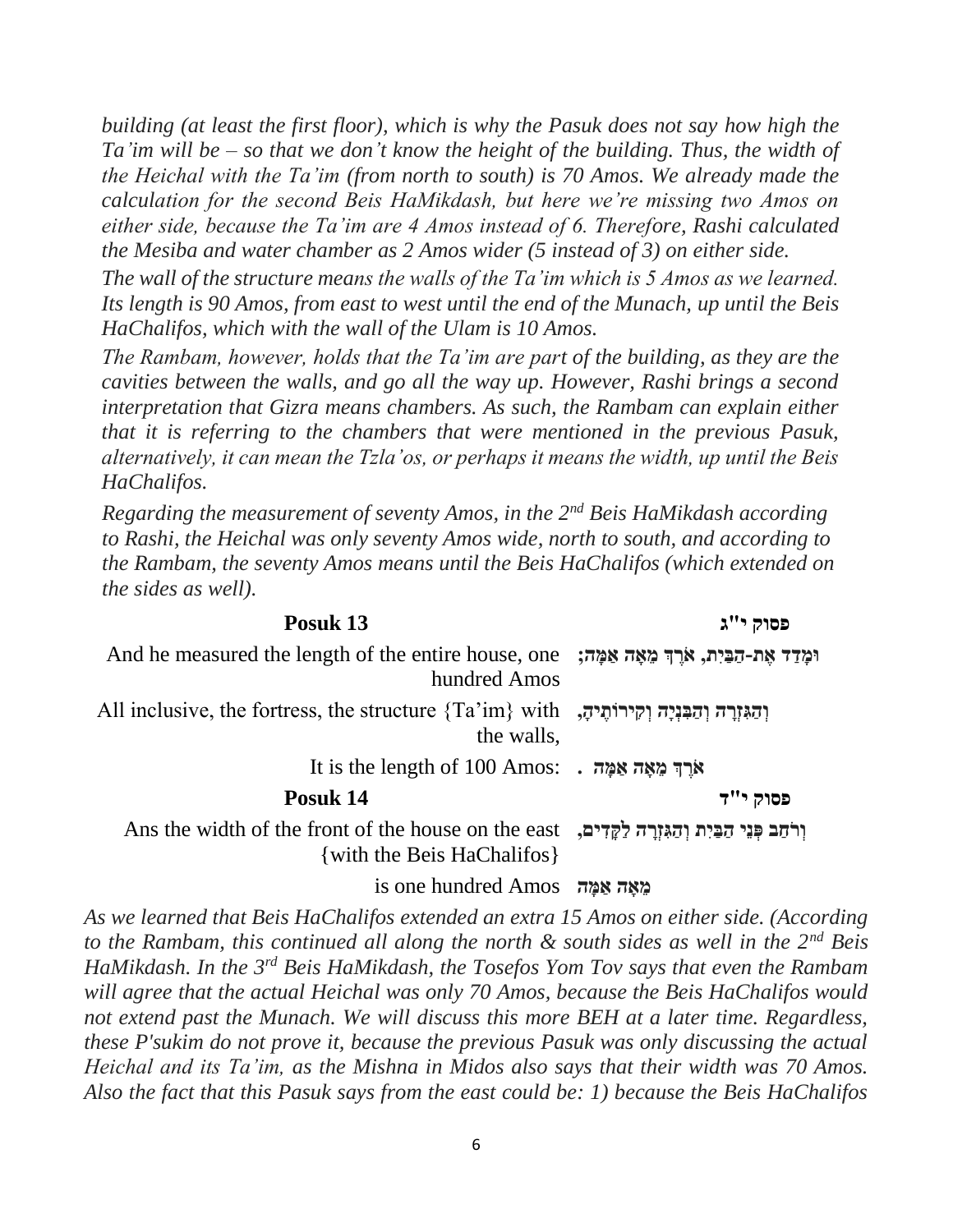*building (at least the first floor), which is why the Pasuk does not say how high the Ta'im will be – so that we don't know the height of the building. Thus, the width of the Heichal with the Ta'im (from north to south) is 70 Amos. We already made the calculation for the second Beis HaMikdash, but here we're missing two Amos on either side, because the Ta'im are 4 Amos instead of 6. Therefore, Rashi calculated the Mesiba and water chamber as 2 Amos wider (5 instead of 3) on either side.*

*The wall of the structure means the walls of the Ta'im which is 5 Amos as we learned. Its length is 90 Amos, from east to west until the end of the Munach, up until the Beis HaChalifos, which with the wall of the Ulam is 10 Amos.*

*The Rambam, however, holds that the Ta'im are part of the building, as they are the cavities between the walls, and go all the way up. However, Rashi brings a second interpretation that Gizra means chambers. As such, the Rambam can explain either that it is referring to the chambers that were mentioned in the previous Pasuk, alternatively, it can mean the Tzla'os, or perhaps it means the width, up until the Beis HaChalifos.*

*Regarding the measurement of seventy Amos, in the 2<sup>nd</sup> Beis HaMikdash according to Rashi, the Heichal was only seventy Amos wide, north to south, and according to the Rambam, the seventy Amos means until the Beis HaChalifos (which extended on the sides as well).*

| Posuk 13                                                                                                         | פסוק י"ג |
|------------------------------------------------------------------------------------------------------------------|----------|
| וּמַדַד אֶת-הַבֵּיִת, אֹרֶךְ מֵאָה אַמַּה; And he measured the length of the entire house, one<br>hundred Amos   |          |
| והגּוָרָה וְהַבְּנִיָּה וְקִירוֹתֵיהָ, "All inclusive, the fortress, the structure {Ta'im} with<br>the walls,    |          |
| It is the length of 100 Amos: . אֲרֵךְ מֵאָה אַמֵּה .                                                            |          |
| Posuk 14                                                                                                         | פסוק י"ד |
| Ans the width of the front of the house on the east<br>ולחב פני הבית והגזרה לקדים,<br>{with the Beis HaChalifos} |          |

#### *מֵאֵה אַמֵּה הֵּ הַ* **is one hundred Amos**

*As we learned that Beis HaChalifos extended an extra 15 Amos on either side. (According to the Rambam, this continued all along the north & south sides as well in the 2nd Beis HaMikdash. In the 3rd Beis HaMikdash, the Tosefos Yom Tov says that even the Rambam will agree that the actual Heichal was only 70 Amos, because the Beis HaChalifos would not extend past the Munach. We will discuss this more BEH at a later time. Regardless, these P'sukim do not prove it, because the previous Pasuk was only discussing the actual Heichal and its Ta'im, as the Mishna in Midos also says that their width was 70 Amos. Also the fact that this Pasuk says from the east could be: 1) because the Beis HaChalifos*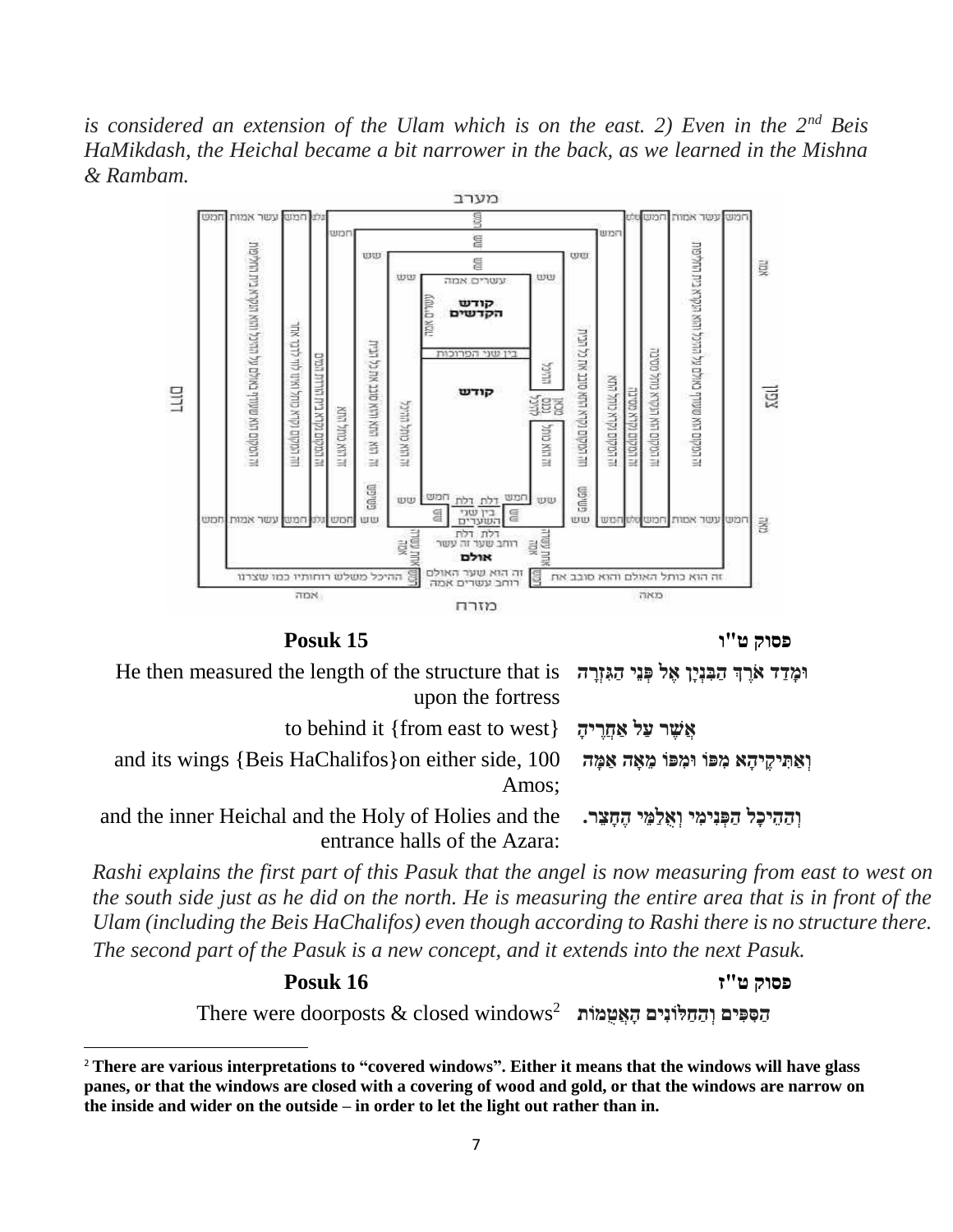*is considered an extension of the Ulam which is on the east. 2) Even in the 2nd Beis HaMikdash, the Heichal became a bit narrower in the back, as we learned in the Mishna & Rambam.*





| He then measured the length of the structure that is הַבְּנְיַן אֵל כְּנֵי הַגְּזְרָה He then measured the length of the structure that is |  |
|--------------------------------------------------------------------------------------------------------------------------------------------|--|
| upon the fortress                                                                                                                          |  |
| to behind it {from east to west} אֲשֵׁר עַל אַחֲרִיהָ                                                                                      |  |

and its wings {Beis HaChalifos}on either side, 100 **וְ אַ תִ יקֶּ יהָּ א מִ פֹו ּומִ פֹו מֵּ אָּ ה אַ מָּ ה**

Amos;

and the inner Heichal and the Holy of Holies and the **וְ הַ הֵּ יכָּל הַ פְ נִימִ י וְ אֻלַמֵּ י הֶּ חָּ צֵּ ר.**

entrance halls of the Azara:

*Rashi explains the first part of this Pasuk that the angel is now measuring from east to west on the south side just as he did on the north. He is measuring the entire area that is in front of the Ulam (including the Beis HaChalifos) even though according to Rashi there is no structure there. The second part of the Pasuk is a new concept, and it extends into the next Pasuk.*

**פסוק ט"ז 16 Posuk**

 $\overline{\phantom{a}}$ 

There were doorposts & closed windows<sup>2</sup> **הַ סִ פִ ים וְ הַ חַ לֹונִים הָּ אֲטֻמֹות** 

<sup>2</sup> **There are various interpretations to "covered windows". Either it means that the windows will have glass panes, or that the windows are closed with a covering of wood and gold, or that the windows are narrow on the inside and wider on the outside – in order to let the light out rather than in.**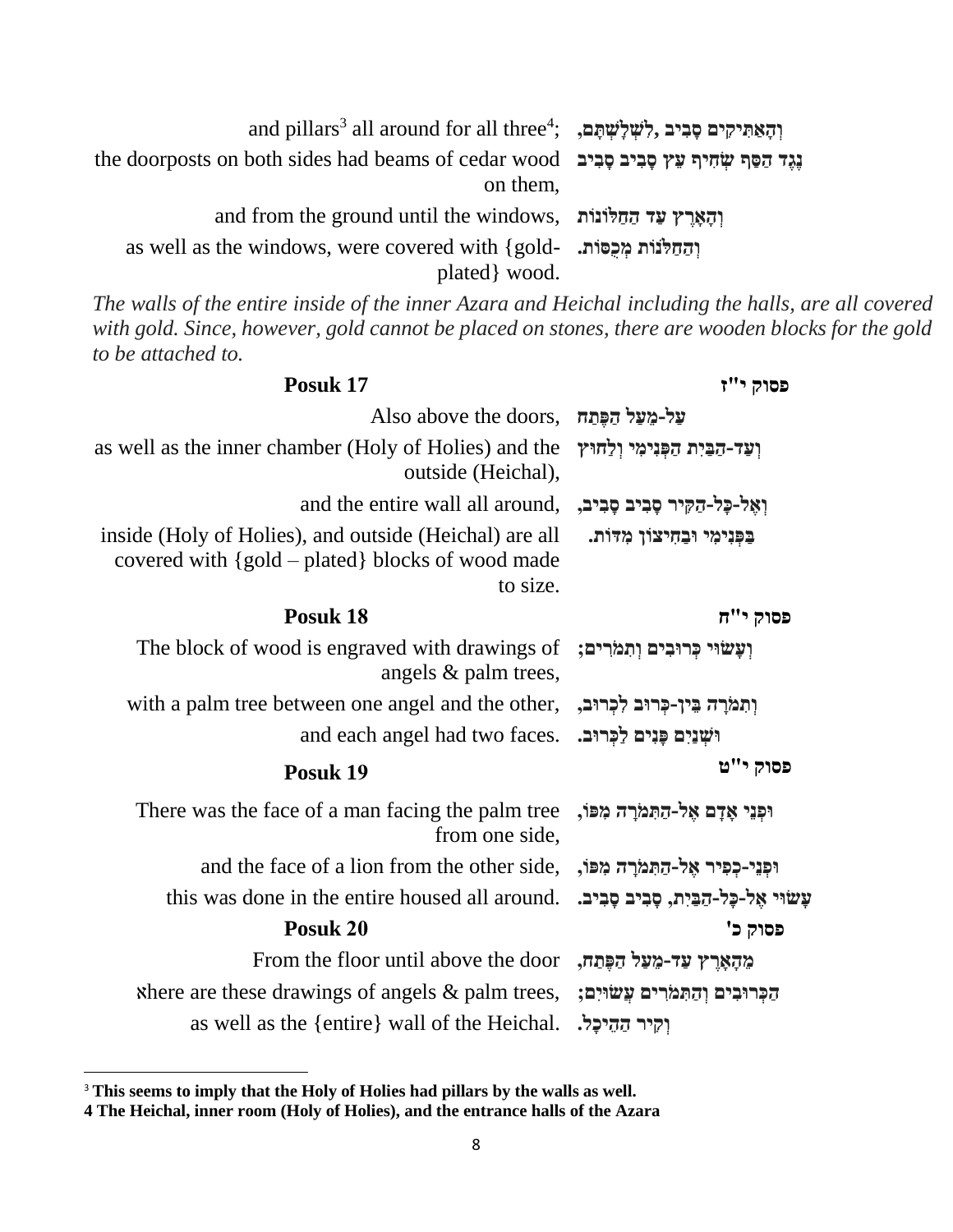| and pillars <sup>3</sup> all around for all three <sup>4</sup> ; $\frac{1}{2}$ לְשִׁלְּשָׁתָּם, יְהָאֲתִּיקִים פָּבִיב |  |
|------------------------------------------------------------------------------------------------------------------------|--|
| the doorposts on both sides had beams of cedar wood נְגֵד הַסַּף שָׂחִיף עֵץ סַבִיב סַבִּיב<br>on them,                |  |
| and from the ground until the windows, והארץ עד החלונות                                                                |  |
| as well as the windows, were covered with {gold-<br>plated wood.                                                       |  |

*The walls of the entire inside of the inner Azara and Heichal including the halls, are all covered with gold. Since, however, gold cannot be placed on stones, there are wooden blocks for the gold to be attached to.*

| פסוק י"ז                            | Posuk 17                                                                                                                   |
|-------------------------------------|----------------------------------------------------------------------------------------------------------------------------|
|                                     | Also above the doors, תּפְתַח Also                                                                                         |
| וְעַד-הַבִּיִת הַפְּנִימִי וְלַחוּץ | as well as the inner chamber (Holy of Holies) and the<br>outside (Heichal),                                                |
|                                     | and the entire wall all around, וְאֵל-כָּל-הַקִּיר סָבִיב,                                                                 |
| בִּפְּנִימִי וּבַחִיצוֹן מִדּוֹת.   | inside (Holy of Holies), and outside (Heichal) are all<br>covered with $\{gold - plated\}$ blocks of wood made<br>to size. |
| פסוק י"ח                            | Posuk 18                                                                                                                   |
|                                     | The block of wood is engraved with drawings of ;ועשוי כרובים ותמרים<br>angels & palm trees,                                |
|                                     | with a palm tree between one angel and the other, יְתְמֹרָה בֵּין-כְּרוּב לְכְרוּב,                                        |
|                                     | and each angel had two faces. יִשְׁנַיִם כְּנִים לַכְּרוּב.                                                                |
| פסוק י"ט                            | Posuk 19                                                                                                                   |
|                                     | There was the face of a man facing the palm tree ,וּפְנֵי אָדָם אֶל-הַתְּמֹרָה מִפּוֹ<br>from one side,                    |
|                                     | and the face of a lion from the other side, וִכְּנֵי-כְפִיר אֱל-הַתְּמֹרָה מִפּוֹ,                                         |
|                                     | this was done in the entire housed all around. נָשׁוּי אֱל-כָּל-הַבֵּיִת, סָבִיב סָבִיב.                                   |
| פסוק כ'                             | Posuk 20                                                                                                                   |
|                                     | From the floor until above the door הַפֶּתַח, From the floor until above the door                                          |
|                                     | א Rhere are these drawings of angels & palm trees, נְהַתְּמֹרִים עֲשׂוּיִם;                                                |
| וקיר ההיכל.                         | as well as the {entire} wall of the Heichal.                                                                               |

<sup>3</sup> **This seems to imply that the Holy of Holies had pillars by the walls as well.**

 $\overline{\phantom{a}}$ 

**<sup>4</sup> The Heichal, inner room (Holy of Holies), and the entrance halls of the Azara**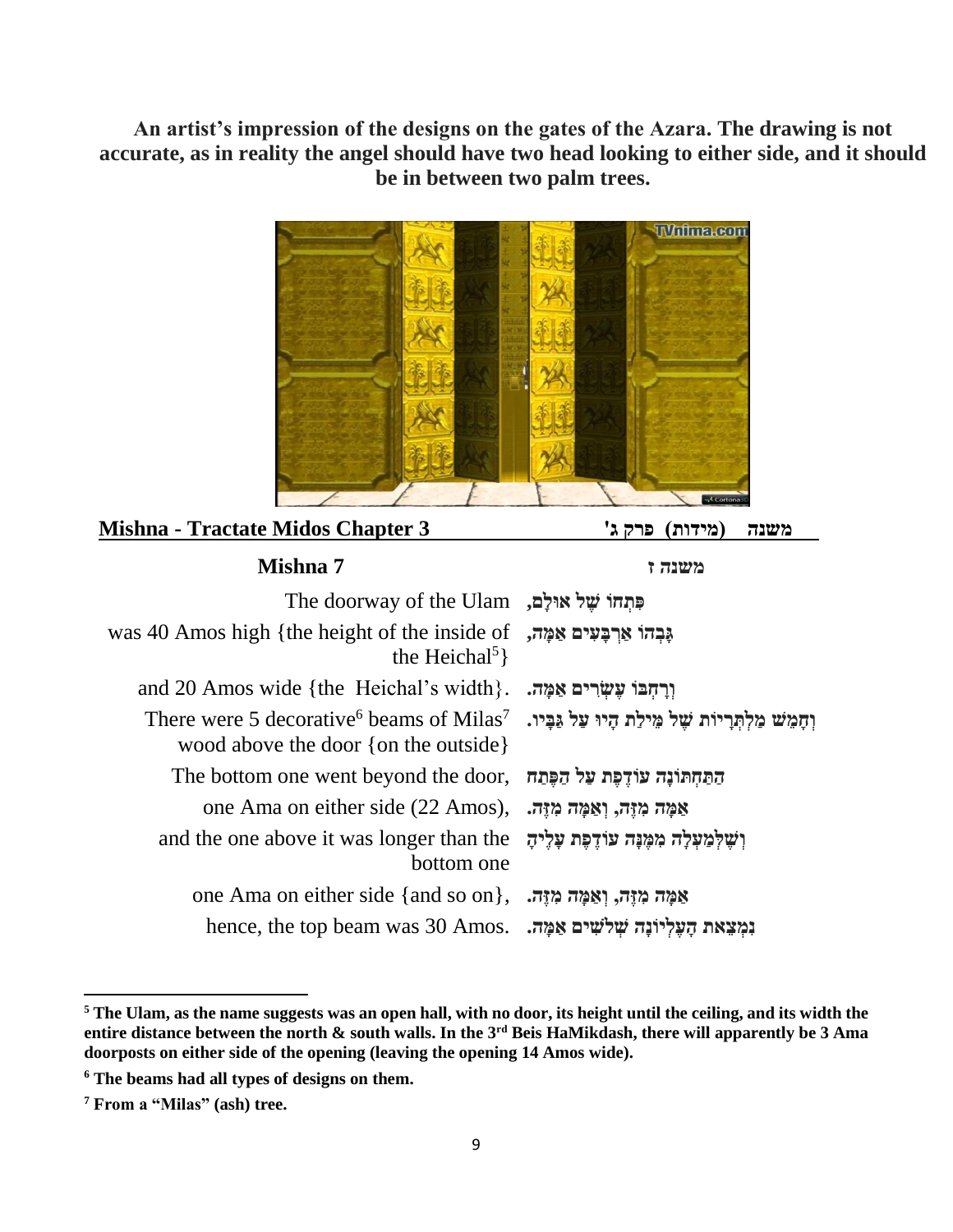**An artist's impression of the designs on the gates of the Azara. The drawing is not accurate, as in reality the angel should have two head looking to either side, and it should be in between two palm trees.**



### **משנה (מידות) פרק ג'** 3 **Mishna** - Tractate Midos Chapter 3

| משנה ז                       | Mishna 7                                                                                                                                          |
|------------------------------|---------------------------------------------------------------------------------------------------------------------------------------------------|
|                              | תְּחָהוֹ שֵׁל אוּלַם, The doorway of the Ulam                                                                                                     |
| גַּבְהוֹ אַרְבַּעִים אַמֵּה, | was 40 Amos high {the height of the inside of<br>the Heichal <sup>5</sup> $\}$                                                                    |
| וִרַחִבּוֹ עֵשְׂרִים אַמַּה. | and 20 Amos wide {the Heichal's width}.                                                                                                           |
|                              | There were 5 decorative וְחָמֵשׁ מַלִתְּרֵיוֹת שֵׁל מֵילַת הָיוּ עַל גַּבָּיו. [/ˈThere were 5 decorative<br>wood above the door {on the outside} |
|                              | <u>התּחִתּוֹנָה עוֹדֵפֶת עַל הַפֶּתַח The bottom one went beyond the door, הַתַּחִתּוֹנָה עוֹדֵפֶת עַל</u>                                        |
|                              | one Ama on either side (22 Amos), אַמַּה מְזֶה, וְאַמַּה מְזֶה,                                                                                   |
|                              | and the one above it was longer than the וֹשֵׁלְמַעָּלָה מִמְּנָּה עוֹדֵפָּת עָלֶיהָ<br>bottom one                                                |
|                              | one Ama on either side {and so on}, אַמַּה מְזֶה, וְאַמַּה מְזֶה,                                                                                 |
|                              | hence, the top beam was 30 Amos. גִּמְצָאת הָעֲלְיוֹנָה שְׁלֹשִׁים אֲמֶה.                                                                         |

 $\overline{\phantom{a}}$ 

**<sup>5</sup> The Ulam, as the name suggests was an open hall, with no door, its height until the ceiling, and its width the entire distance between the north & south walls. In the 3rd Beis HaMikdash, there will apparently be 3 Ama doorposts on either side of the opening (leaving the opening 14 Amos wide).**

**<sup>6</sup> The beams had all types of designs on them.**

**<sup>7</sup> From a "Milas" (ash) tree.**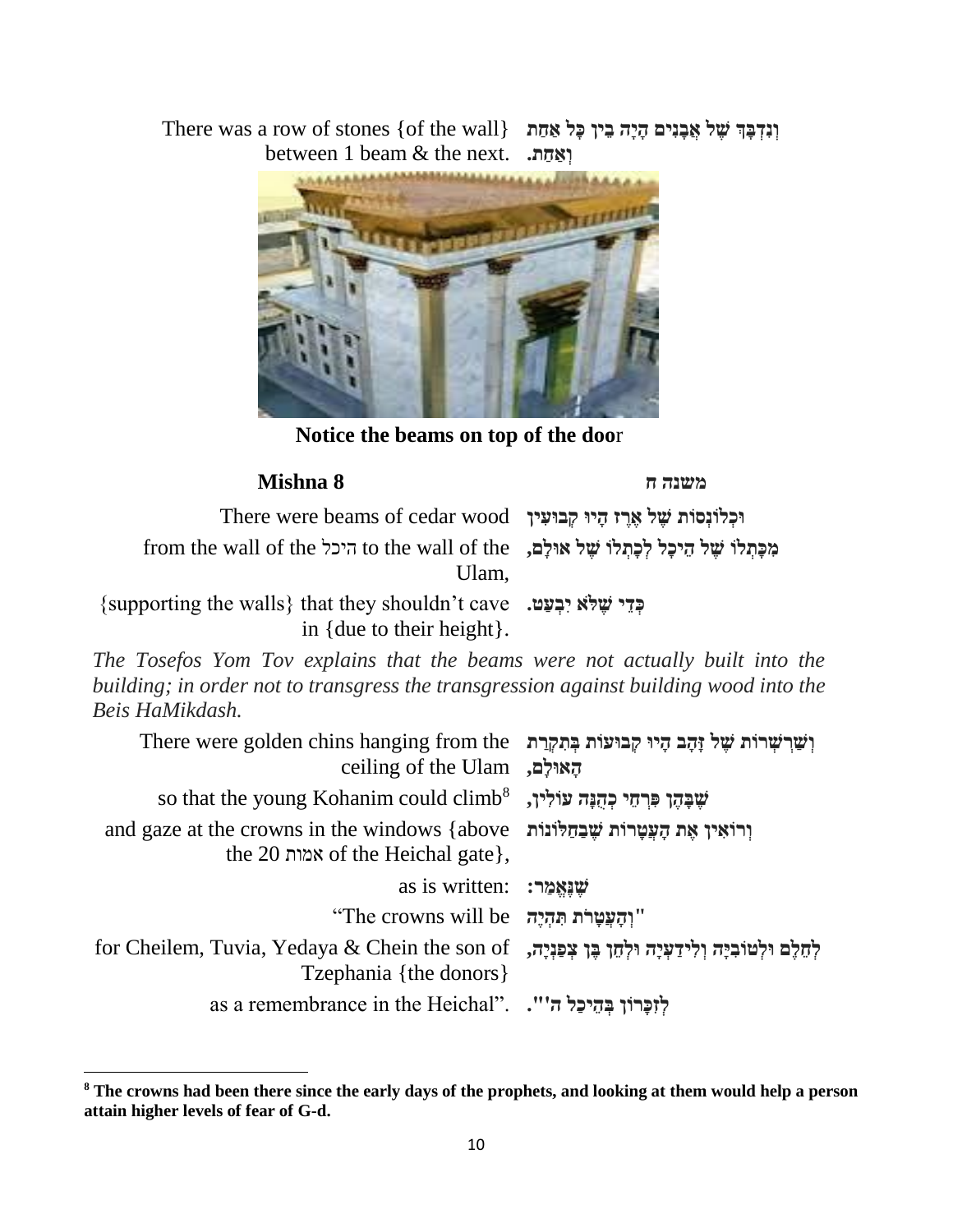There was a row of stones {of the wall} **וְ נִדְ בָּ ְך שֶּ ל אֲבָּ נִים הָּ יָּה בֵּ ין כָּל אַ חַ ת**  between 1 beam & the next. **וְ אַ חַ ת.**



**Notice the beams on top of the doo**r

| Mishna 8 |  |
|----------|--|
|----------|--|

 $\overline{a}$ 

**משנה ח 8 Mishna**

| There were beams of cedar wood וּכְלוֹנְסוֹת שָׁל אֲרֵז הָיוּ קְבוּעִין                                                                       |  |
|-----------------------------------------------------------------------------------------------------------------------------------------------|--|
| מִכַּתְלוֹ שֵׁל הֵיכָל לִכָּתְלוֹ שֵׁל אוּלְם, to the wall of the היכל from the wall of the<br>Ulam.                                          |  |
| {supporting the walls} that they shouldn't cave , יִבְעָט. [supporting the walls}<br>in { due to their height }.                              |  |
| $\Gamma_{\alpha}$ $T_{\alpha}$ $\Gamma_{\alpha}$ $T_{\alpha}$ $T_{\alpha}$ and $\Gamma_{\alpha}$ that the heaves were not actually built jute |  |

*The Tosefos Yom Tov explains that the beams were not actually built into the building; in order not to transgress the transgression against building wood into the Beis HaMikdash.*

| There were golden chins hanging from the וִשְׁרִשְׁרוֹת שָׁל זַּהֲב הָיוּ קְבוּעוֹת בְּתְקְרַת<br>ceiling of the Ulam                 |  |
|---------------------------------------------------------------------------------------------------------------------------------------|--|
| so that the young Kohanim could climb <sup>8</sup> , שַׁבַּהֵן פִּרְחֵי כְּהָנַּה עוֹלְין,                                            |  |
| and gaze at the crowns in the windows {above נְרוֹאִין אֶת הַעֲטֲרוֹת שֶׁבַּחַלּוֹנוֹת<br>the 20 אמות of the Heichal gate },          |  |
| as is written: שְׁנֵאֵמַר:                                                                                                            |  |
| "וְהַעֲטַרֹת תְּהָיָה "The crowns will be"                                                                                            |  |
| לְחֵלֶם וּלְטּוֹבִיָּה וְלִידַעְיָה וּלְחֵן בֶּן צְפַנְיָה,   for Cheilem, Tuvia, Yedaya & Chein the son of<br>Tzephania {the donors} |  |
| as a remembrance in the Heichal". "אֲבְרוֹן בְּהֵיכַל ה'".                                                                            |  |

**<sup>8</sup> The crowns had been there since the early days of the prophets, and looking at them would help a person attain higher levels of fear of G-d.**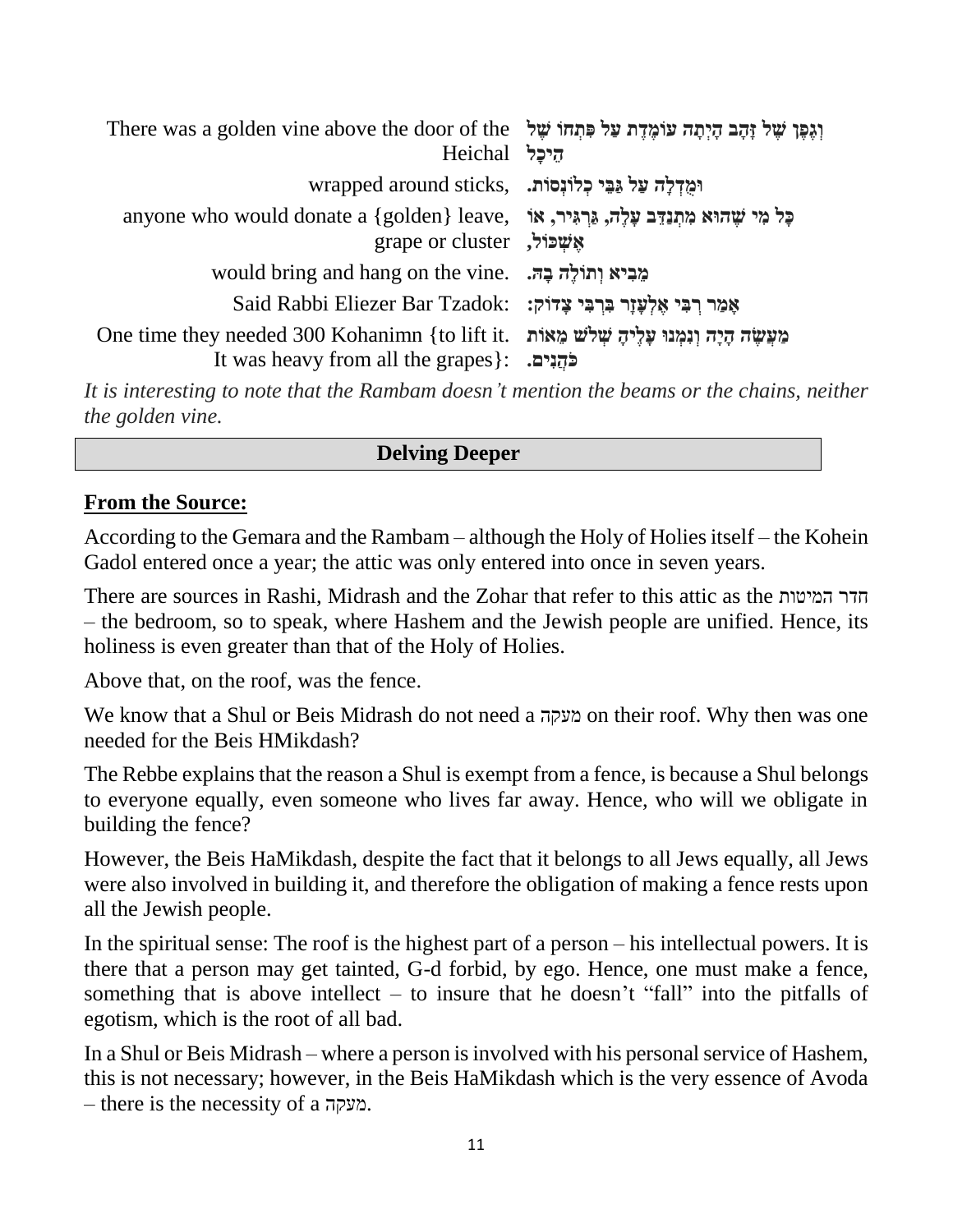| There was a golden vine above the door of the יָהֶב הַיְתָה עוֹמֶדֶת עַל פְּתְחוֹ שָׁל<br>היכל Heichal                                            |  |
|---------------------------------------------------------------------------------------------------------------------------------------------------|--|
| ומַדְלַה עַל גַּבֵּי כְלוֹנְסוֹת. .wrapped around sticks                                                                                          |  |
| anyone who would donate a {golden} leave, פְל מִי שֵׁהוּא מִתְנַדֵּב עָלֶה, גַּרְגִּיר, אוֹ<br>grape or cluster, grape or                         |  |
| would bring and hang on the vine. בְּהּ                                                                                                           |  |
| Said Rabbi Eliezer Bar Tzadok: יָאֲלִעֲזָר בְּרְבִּי צָדוֹק                                                                                       |  |
| One time they needed 300 Kohanimn {to lift it. מִעֲשָׂה הָיָה וְנִמְנוּ עָלֵיהָ שִׁלֹשׁ מֵאוֹת<br>It was heavy from all the grapes }: . כֹּהֲנִים |  |
|                                                                                                                                                   |  |

*It is interesting to note that the Rambam doesn't mention the beams or the chains, neither the golden vine.*

### **Delving Deeper**

### **From the Source:**

According to the Gemara and the Rambam – although the Holy of Holies itself – the Kohein Gadol entered once a year; the attic was only entered into once in seven years.

There are sources in Rashi, Midrash and the Zohar that refer to this attic as the המיטות חדר – the bedroom, so to speak, where Hashem and the Jewish people are unified. Hence, its holiness is even greater than that of the Holy of Holies.

Above that, on the roof, was the fence.

We know that a Shul or Beis Midrash do not need a מעקה on their roof. Why then was one needed for the Beis HMikdash?

The Rebbe explains that the reason a Shul is exempt from a fence, is because a Shul belongs to everyone equally, even someone who lives far away. Hence, who will we obligate in building the fence?

However, the Beis HaMikdash, despite the fact that it belongs to all Jews equally, all Jews were also involved in building it, and therefore the obligation of making a fence rests upon all the Jewish people.

In the spiritual sense: The roof is the highest part of a person – his intellectual powers. It is there that a person may get tainted, G-d forbid, by ego. Hence, one must make a fence, something that is above intellect – to insure that he doesn't "fall" into the pitfalls of egotism, which is the root of all bad.

In a Shul or Beis Midrash – where a person is involved with his personal service of Hashem, this is not necessary; however, in the Beis HaMikdash which is the very essence of Avoda – there is the necessity of a מעקה.